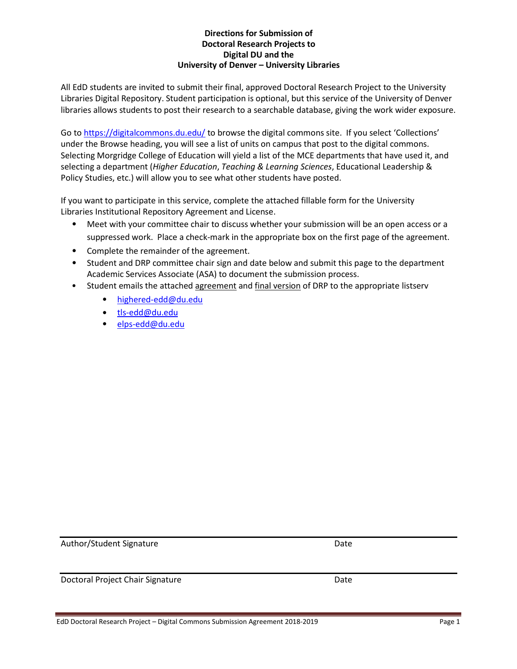#### **Directions for Submission of Doctoral Research Projects to Digital DU and the University of Denver – University Libraries**

All EdD students are invited to submit their final, approved Doctoral Research Project to the University Libraries Digital Repository. Student participation is optional, but this service of the University of Denver libraries allows students to post their research to a searchable database, giving the work wider exposure.

Go to<https://digitalcommons.du.edu/> to browse the digital commons site. If you select 'Collections' under the Browse heading, you will see a list of units on campus that post to the digital commons. Selecting Morgridge College of Education will yield a list of the MCE departments that have used it, and selecting a department (*Higher Education*, *Teaching & Learning Sciences*, Educational Leadership & Policy Studies, etc.) will allow you to see what other students have posted.

If you want to participate in this service, complete the attached fillable form for the University Libraries Institutional Repository Agreement and License.

- Meet with your committee chair to discuss whether your submission will be an open access or a suppressed work. Place a check-mark in the appropriate box on the first page of the agreement.
- Complete the remainder of the agreement.
- Student and DRP committee chair sign and date below and submit this page to the department Academic Services Associate (ASA) to document the submission process.
- Student emails the attached agreement and final version of DRP to the appropriate listserv
	- [highered-edd@du.edu](mailto:highered-edd@du.edu)
	- [tls-edd@du.edu](mailto:tls-edd@du.edu)
	- [elps-edd@du.edu](mailto:elps-edd@du.edu)

Author/Student Signature Date Date

Doctoral Project Chair Signature Date Date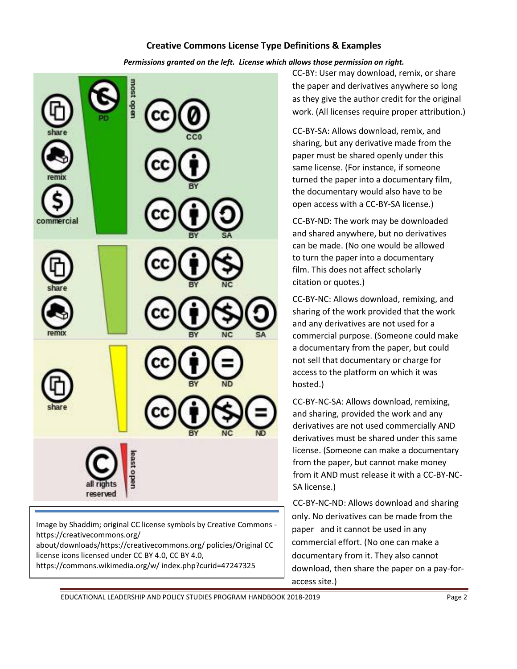### **Creative Commons License Type Definitions & Examples**

*Permissions granted on the left. License which allows those permission on right.*



Image by Shaddim; original CC license symbols by Creative Commons https://creativecommons.org/

about/downloads/https://creativecommons.org/ policies/Original CC license icons licensed under CC BY 4.0, CC BY 4.0,

https://commons.wikimedia.org/w/ index.php?curid=47247325

CC-BY: User may download, remix, or share the paper and derivatives anywhere so long as they give the author credit for the original work. (All licenses require proper attribution.)

CC-BY-SA: Allows download, remix, and sharing, but any derivative made from the paper must be shared openly under this same license. (For instance, if someone turned the paper into a documentary film, the documentary would also have to be open access with a CC-BY-SA license.)

CC-BY-ND: The work may be downloaded and shared anywhere, but no derivatives can be made. (No one would be allowed to turn the paper into a documentary film. This does not affect scholarly citation or quotes.)

CC-BY-NC: Allows download, remixing, and sharing of the work provided that the work and any derivatives are not used for a commercial purpose. (Someone could make a documentary from the paper, but could not sell that documentary or charge for access to the platform on which it was hosted.)

CC-BY-NC-SA: Allows download, remixing, and sharing, provided the work and any derivatives are not used commercially AND derivatives must be shared under this same license. (Someone can make a documentary from the paper, but cannot make money from it AND must release it with a CC-BY-NC-SA license.)

CC-BY-NC-ND: Allows download and sharing only. No derivatives can be made from the paper and it cannot be used in any commercial effort. (No one can make a documentary from it. They also cannot download, then share the paper on a pay-foraccess site.)

EDUCATIONAL LEADERSHIP AND POLICY STUDIES PROGRAM HANDBOOK 2018-2019 Page 2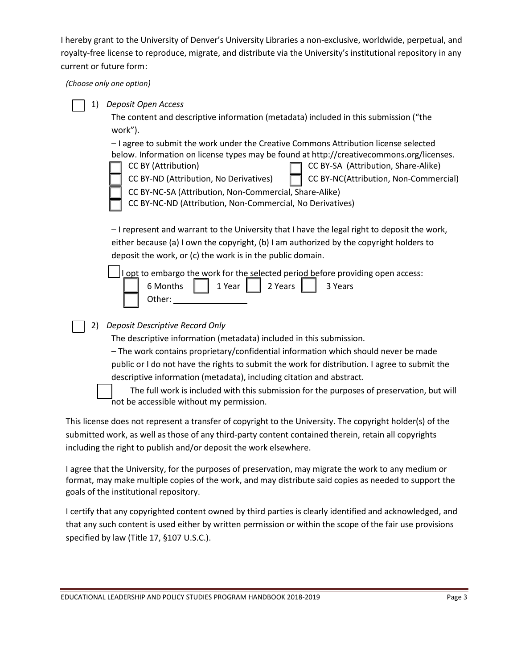I hereby grant to the University of Denver's University Libraries a non-exclusive, worldwide, perpetual, and royalty-free license to reproduce, migrate, and distribute via the University's institutional repository in any current or future form:

*(Choose only one option)*

| 1) | Deposit Open Access                                                                                                                                                                     |  |  |  |  |
|----|-----------------------------------------------------------------------------------------------------------------------------------------------------------------------------------------|--|--|--|--|
|    | The content and descriptive information (metadata) included in this submission ("the                                                                                                    |  |  |  |  |
|    | work").                                                                                                                                                                                 |  |  |  |  |
|    | - I agree to submit the work under the Creative Commons Attribution license selected<br>below. Information on license types may be found at http://creativecommons.org/licenses.        |  |  |  |  |
|    | CC BY-SA (Attribution, Share-Alike)<br>CC BY (Attribution)                                                                                                                              |  |  |  |  |
|    | CC BY-NC(Attribution, Non-Commercial)<br>CC BY-ND (Attribution, No Derivatives)                                                                                                         |  |  |  |  |
|    | CC BY-NC-SA (Attribution, Non-Commercial, Share-Alike)                                                                                                                                  |  |  |  |  |
|    | CC BY-NC-ND (Attribution, Non-Commercial, No Derivatives)                                                                                                                               |  |  |  |  |
|    |                                                                                                                                                                                         |  |  |  |  |
|    | - I represent and warrant to the University that I have the legal right to deposit the work,<br>either because (a) I own the copyright, (b) I am authorized by the copyright holders to |  |  |  |  |
|    | deposit the work, or (c) the work is in the public domain.                                                                                                                              |  |  |  |  |
|    | I opt to embargo the work for the selected period before providing open access:                                                                                                         |  |  |  |  |
|    | 6 Months<br>1 Year<br>2 Years<br>3 Years                                                                                                                                                |  |  |  |  |
|    | Other:                                                                                                                                                                                  |  |  |  |  |
|    |                                                                                                                                                                                         |  |  |  |  |
| 2) | Deposit Descriptive Record Only                                                                                                                                                         |  |  |  |  |
|    | The descriptive information (metadata) included in this submission.                                                                                                                     |  |  |  |  |
|    | - The work contains proprietary/confidential information which should never be made                                                                                                     |  |  |  |  |
|    | public or I do not have the rights to submit the work for distribution. I agree to submit the                                                                                           |  |  |  |  |
|    | descriptive information (metadata), including citation and abstract.                                                                                                                    |  |  |  |  |
|    | The full work is included with this submission for the purposes of preservation, but will<br>not be accessible without my permission.                                                   |  |  |  |  |
|    |                                                                                                                                                                                         |  |  |  |  |

This license does not represent a transfer of copyright to the University. The copyright holder(s) of the submitted work, as well as those of any third-party content contained therein, retain all copyrights including the right to publish and/or deposit the work elsewhere.

I agree that the University, for the purposes of preservation, may migrate the work to any medium or format, may make multiple copies of the work, and may distribute said copies as needed to support the goals of the institutional repository.

I certify that any copyrighted content owned by third parties is clearly identified and acknowledged, and that any such content is used either by written permission or within the scope of the fair use provisions specified by law (Title 17, §107 U.S.C.).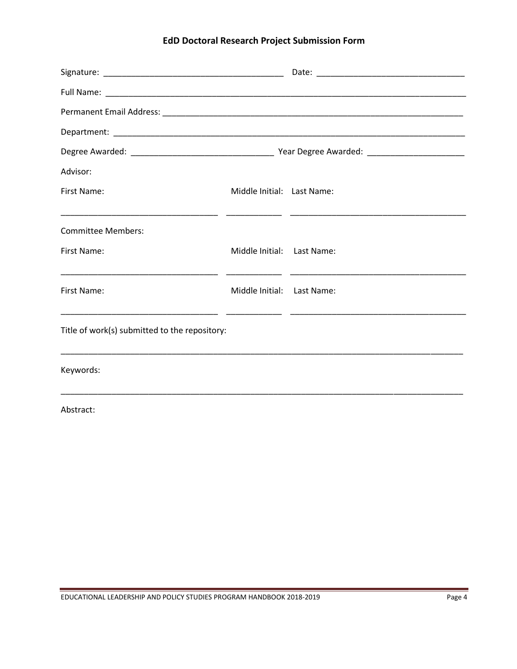# **EdD Doctoral Research Project Submission Form**

| Advisor:                                      |                            |  |  |  |  |  |  |
|-----------------------------------------------|----------------------------|--|--|--|--|--|--|
| First Name:                                   | Middle Initial: Last Name: |  |  |  |  |  |  |
|                                               |                            |  |  |  |  |  |  |
| <b>Committee Members:</b>                     |                            |  |  |  |  |  |  |
| First Name:                                   | Middle Initial: Last Name: |  |  |  |  |  |  |
|                                               |                            |  |  |  |  |  |  |
| First Name:                                   | Middle Initial: Last Name: |  |  |  |  |  |  |
|                                               |                            |  |  |  |  |  |  |
| Title of work(s) submitted to the repository: |                            |  |  |  |  |  |  |
|                                               |                            |  |  |  |  |  |  |
| Keywords:                                     |                            |  |  |  |  |  |  |
|                                               |                            |  |  |  |  |  |  |

Abstract: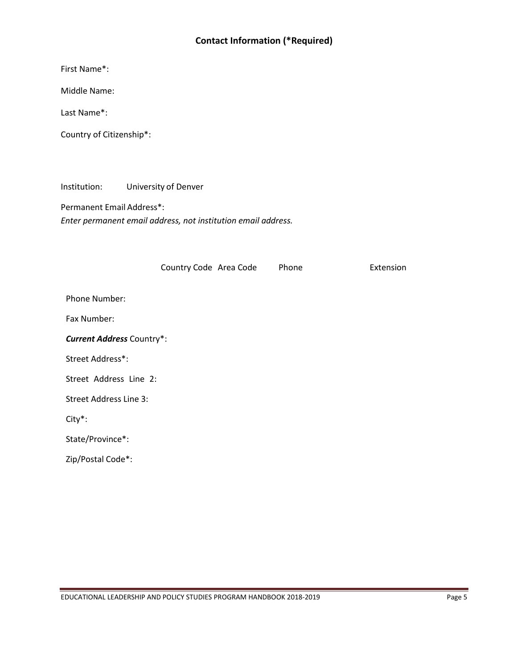## **Contact Information (\*Required)**

First Name\*:

Middle Name:

Last Name\*:

Country of Citizenship\*:

Institution: University of Denver

Permanent Email Address\*: *Enter permanent email address, not institution email address.*

|                                  | Country Code Area Code | Phone | Extension |
|----------------------------------|------------------------|-------|-----------|
| Phone Number:                    |                        |       |           |
| Fax Number:                      |                        |       |           |
| <b>Current Address Country*:</b> |                        |       |           |
| Street Address*:                 |                        |       |           |
| Street Address Line 2:           |                        |       |           |
| <b>Street Address Line 3:</b>    |                        |       |           |
| $City*$ :                        |                        |       |           |
| State/Province*:                 |                        |       |           |
| Zip/Postal Code*:                |                        |       |           |
|                                  |                        |       |           |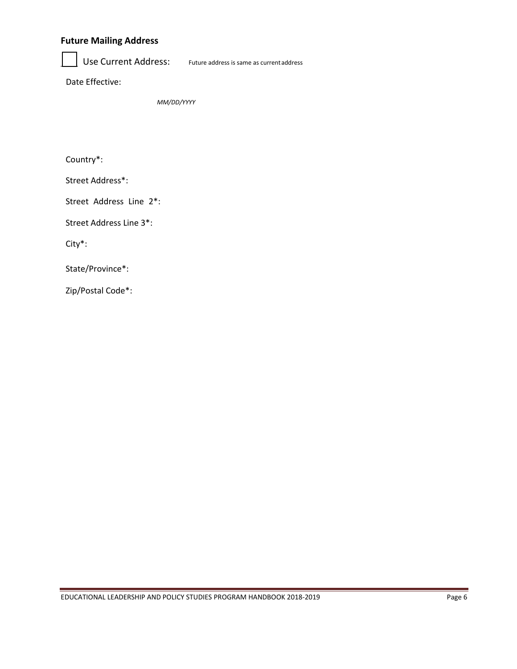## **Future Mailing Address**

Use Current Address: Future address is same as current address

Date Effective:

*MM/DD/YYYY*

Country\*:

Street Address\*:

Street Address Line 2\*:

Street Address Line 3\*:

City\*:

State/Province\*:

Zip/Postal Code\*: